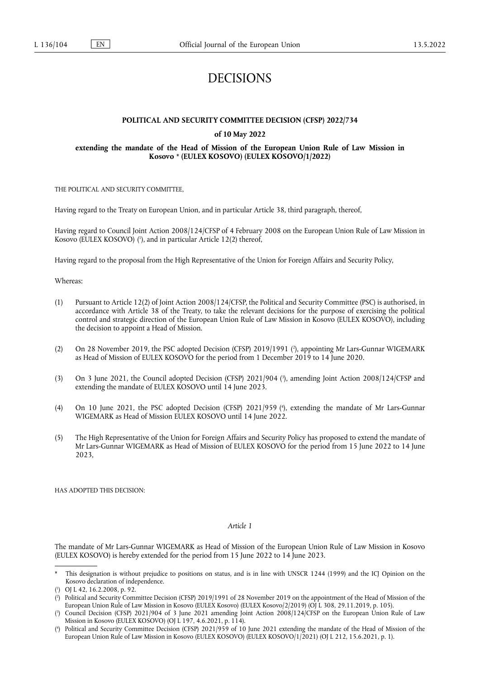# DECISIONS

#### **POLITICAL AND SECURITY COMMITTEE DECISION (CFSP) 2022/734**

#### **of 10 May 2022**

#### <span id="page-0-5"></span>**extending the mandate of the Head of Mission of the European Union Rule of Law Mission in Kosovo** [\\*](#page-0-0) **(EULEX KOSOVO) (EULEX KOSOVO/1/2022)**

THE POLITICAL AND SECURITY COMMITTEE,

Having regard to the Treaty on European Union, and in particular Article 38, third paragraph, thereof,

<span id="page-0-6"></span>Having regard to Council Joint Action 2008/124/CFSP of 4 February 2008 on the European Union Rule of Law Mission in Kosovo (EULEX KOSOVO) ( 1 [\),](#page-0-1) and in particular Article 12(2) thereof,

Having regard to the proposal from the High Representative of the Union for Foreign Affairs and Security Policy,

Whereas:

- (1) Pursuant to Article 12(2) of Joint Action 2008/124/CFSP, the Political and Security Committee (PSC) is authorised, in accordance with Article 38 of the Treaty, to take the relevant decisions for the purpose of exercising the political control and strategic direction of the European Union Rule of Law Mission in Kosovo (EULEX KOSOVO), including the decision to appoint a Head of Mission.
- <span id="page-0-7"></span>[\(](#page-0-2)2) On 28 November 2019, the PSC adopted Decision (CFSP) 2019/1991 (<sup>2</sup>), appointing Mr Lars-Gunnar WIGEMARK as Head of Mission of EULEX KOSOVO for the period from 1 December 2019 to 14 June 2020.
- <span id="page-0-8"></span>(3) On 3 June 2021, the Council adopted Decision (CFSP) 2021/904 ( 3 [\),](#page-0-3) amending Joint Action 2008/124/CFSP and extending the mandate of EULEX KOSOVO until 14 June 2023.
- <span id="page-0-9"></span>(4) On 10 June 2021, the PSC adopted Decision (CFSP) 2021/959 [\(](#page-0-4) 4 ), extending the mandate of Mr Lars-Gunnar WIGEMARK as Head of Mission EULEX KOSOVO until 14 June 2022.
- (5) The High Representative of the Union for Foreign Affairs and Security Policy has proposed to extend the mandate of Mr Lars-Gunnar WIGEMARK as Head of Mission of EULEX KOSOVO for the period from 15 June 2022 to 14 June 2023,

HAS ADOPTED THIS DECISION:

### *Article 1*

The mandate of Mr Lars-Gunnar WIGEMARK as Head of Mission of the European Union Rule of Law Mission in Kosovo (EULEX KOSOVO) is hereby extended for the period from 15 June 2022 to 14 June 2023.

<span id="page-0-0"></span>This designation is without prejudice to positions on status, and is in line with UNSCR 1244 (1999) and the ICJ Opinion on the Kosovo declaration of independence.

<span id="page-0-1"></span>[<sup>\(</sup>](#page-0-6) 1 ) OJ L 42, 16.2.2008, p. 92.

<span id="page-0-2"></span>[<sup>\(</sup>](#page-0-7) 2 ) Political and Security Committee Decision (CFSP) 2019/1991 of 28 November 2019 on the appointment of the Head of Mission of the European Union Rule of Law Mission in Kosovo (EULEX Kosovo) (EULEX Kosovo/2/2019) (OJ L 308, 29.11.2019, p. 105).

<span id="page-0-3"></span>[<sup>\(</sup>](#page-0-8) 3 ) Council Decision (CFSP) 2021/904 of 3 June 2021 amending Joint Action 2008/124/CFSP on the European Union Rule of Law Mission in Kosovo (EULEX KOSOVO) (OJ L 197, 4.6.2021, p. 114).

<span id="page-0-4"></span>[<sup>\(</sup>](#page-0-9) 4 ) Political and Security Committee Decision (CFSP) 2021/959 of 10 June 2021 extending the mandate of the Head of Mission of the European Union Rule of Law Mission in Kosovo (EULEX KOSOVO) (EULEX KOSOVO/1/2021) (OJ L 212, 15.6.2021, p. 1).